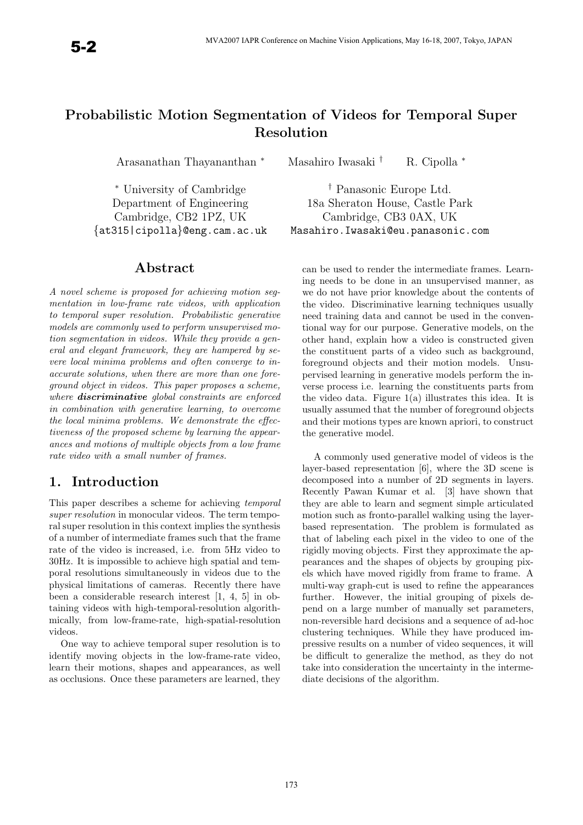# Probabilistic Motion Segmentation of Videos for Temporal Super Resolution

Arasanathan Thayananthan <sup>∗</sup> Masahiro Iwasaki † R. Cipolla <sup>∗</sup>

<sup>∗</sup> University of Cambridge † Panasonic Europe Ltd.

### Abstract

A novel scheme is proposed for achieving motion segmentation in low-frame rate videos, with application to temporal super resolution. Probabilistic generative models are commonly used to perform unsupervised motion segmentation in videos. While they provide a general and elegant framework, they are hampered by severe local minima problems and often converge to inaccurate solutions, when there are more than one foreground object in videos. This paper proposes a scheme, where **discriminative** global constraints are enforced in combination with generative learning, to overcome the local minima problems. We demonstrate the effectiveness of the proposed scheme by learning the appearances and motions of multiple objects from a low frame rate video with a small number of frames.

# 1. Introduction

This paper describes a scheme for achieving temporal super resolution in monocular videos. The term temporal super resolution in this context implies the synthesis of a number of intermediate frames such that the frame rate of the video is increased, i.e. from 5Hz video to 30Hz. It is impossible to achieve high spatial and temporal resolutions simultaneously in videos due to the physical limitations of cameras. Recently there have been a considerable research interest [1, 4, 5] in obtaining videos with high-temporal-resolution algorithmically, from low-frame-rate, high-spatial-resolution videos.

One way to achieve temporal super resolution is to identify moving objects in the low-frame-rate video, learn their motions, shapes and appearances, as well as occlusions. Once these parameters are learned, they

Department of Engineering 18a Sheraton House, Castle Park Cambridge, CB2 1PZ, UK Cambridge, CB3 0AX, UK {at315|cipolla}@eng.cam.ac.uk Masahiro.Iwasaki@eu.panasonic.com

> can be used to render the intermediate frames. Learning needs to be done in an unsupervised manner, as we do not have prior knowledge about the contents of the video. Discriminative learning techniques usually need training data and cannot be used in the conventional way for our purpose. Generative models, on the other hand, explain how a video is constructed given the constituent parts of a video such as background, foreground objects and their motion models. Unsupervised learning in generative models perform the inverse process i.e. learning the constituents parts from the video data. Figure  $1(a)$  illustrates this idea. It is usually assumed that the number of foreground objects and their motions types are known apriori, to construct the generative model.

> A commonly used generative model of videos is the layer-based representation [6], where the 3D scene is decomposed into a number of 2D segments in layers. Recently Pawan Kumar et al. [3] have shown that they are able to learn and segment simple articulated motion such as fronto-parallel walking using the layerbased representation. The problem is formulated as that of labeling each pixel in the video to one of the rigidly moving objects. First they approximate the appearances and the shapes of objects by grouping pixels which have moved rigidly from frame to frame. A multi-way graph-cut is used to refine the appearances further. However, the initial grouping of pixels depend on a large number of manually set parameters, non-reversible hard decisions and a sequence of ad-hoc clustering techniques. While they have produced impressive results on a number of video sequences, it will be difficult to generalize the method, as they do not take into consideration the uncertainty in the intermediate decisions of the algorithm.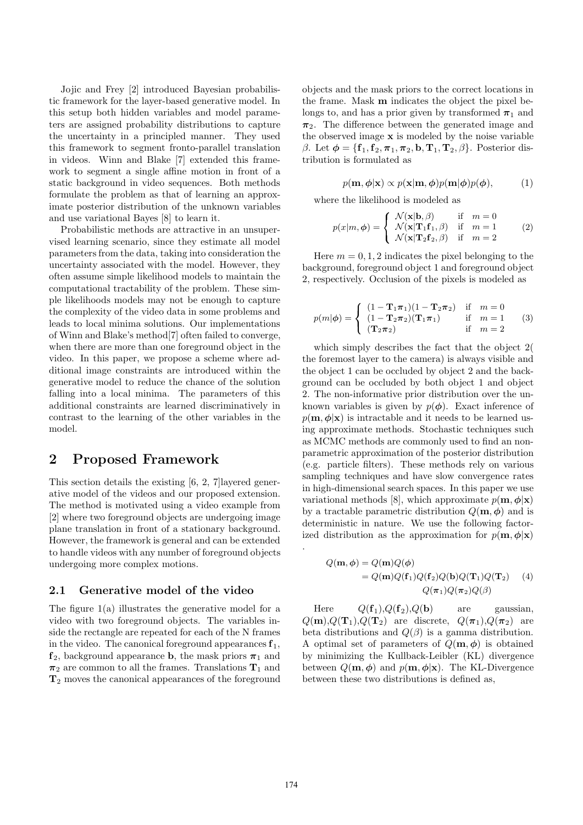Jojic and Frey [2] introduced Bayesian probabilistic framework for the layer-based generative model. In this setup both hidden variables and model parameters are assigned probability distributions to capture the uncertainty in a principled manner. They used this framework to segment fronto-parallel translation in videos. Winn and Blake [7] extended this framework to segment a single affine motion in front of a static background in video sequences. Both methods formulate the problem as that of learning an approximate posterior distribution of the unknown variables and use variational Bayes [8] to learn it.

Probabilistic methods are attractive in an unsupervised learning scenario, since they estimate all model parameters from the data, taking into consideration the uncertainty associated with the model. However, they often assume simple likelihood models to maintain the computational tractability of the problem. These simple likelihoods models may not be enough to capture the complexity of the video data in some problems and leads to local minima solutions. Our implementations of Winn and Blake's method[7] often failed to converge, when there are more than one foreground object in the video. In this paper, we propose a scheme where additional image constraints are introduced within the generative model to reduce the chance of the solution falling into a local minima. The parameters of this additional constraints are learned discriminatively in contrast to the learning of the other variables in the model.

## 2 Proposed Framework

This section details the existing [6, 2, 7]layered generative model of the videos and our proposed extension. The method is motivated using a video example from [2] where two foreground objects are undergoing image plane translation in front of a stationary background. However, the framework is general and can be extended to handle videos with any number of foreground objects undergoing more complex motions.

#### 2.1 Generative model of the video

The figure 1(a) illustrates the generative model for a video with two foreground objects. The variables inside the rectangle are repeated for each of the N frames in the video. The canonical foreground appearances  $f_1$ ,  $f_2$ , background appearance **b**, the mask priors  $\pi_1$  and  $\pi_2$  are common to all the frames. Translations  $T_1$  and T<sup>2</sup> moves the canonical appearances of the foreground

objects and the mask priors to the correct locations in the frame. Mask m indicates the object the pixel belongs to, and has a prior given by transformed  $\pi_1$  and  $\pi_2$ . The difference between the generated image and the observed image x is modeled by the noise variable β. Let  $\phi = {\mathbf{f}_1, \mathbf{f}_2, \pi_1, \pi_2, \mathbf{b}, \mathbf{T}_1, \mathbf{T}_2, \beta}$ . Posterior distribution is formulated as

$$
p(\mathbf{m}, \phi | \mathbf{x}) \propto p(\mathbf{x} | \mathbf{m}, \phi) p(\mathbf{m} | \phi) p(\phi),
$$
 (1)

where the likelihood is modeled as

$$
p(x|m,\phi) = \begin{cases} \mathcal{N}(\mathbf{x}|\mathbf{b},\beta) & \text{if } m = 0\\ \mathcal{N}(\mathbf{x}|\mathbf{T}_1\mathbf{f}_1,\beta) & \text{if } m = 1\\ \mathcal{N}(\mathbf{x}|\mathbf{T}_2\mathbf{f}_2,\beta) & \text{if } m = 2 \end{cases}
$$
 (2)

Here  $m = 0, 1, 2$  indicates the pixel belonging to the background, foreground object 1 and foreground object 2, respectively. Occlusion of the pixels is modeled as

$$
p(m|\phi) = \begin{cases} (1 - \mathbf{T}_1 \pi_1)(1 - \mathbf{T}_2 \pi_2) & \text{if } m = 0\\ (1 - \mathbf{T}_2 \pi_2)(\mathbf{T}_1 \pi_1) & \text{if } m = 1\\ (\mathbf{T}_2 \pi_2) & \text{if } m = 2 \end{cases}
$$
 (3)

which simply describes the fact that the object 2( the foremost layer to the camera) is always visible and the object 1 can be occluded by object 2 and the background can be occluded by both object 1 and object 2. The non-informative prior distribution over the unknown variables is given by  $p(\phi)$ . Exact inference of  $p(\mathbf{m}, \phi | \mathbf{x})$  is intractable and it needs to be learned using approximate methods. Stochastic techniques such as MCMC methods are commonly used to find an nonparametric approximation of the posterior distribution (e.g. particle filters). These methods rely on various sampling techniques and have slow convergence rates in high-dimensional search spaces. In this paper we use variational methods [8], which approximate  $p(\mathbf{m}, \phi | \mathbf{x})$ by a tractable parametric distribution  $Q(\mathbf{m}, \phi)$  and is deterministic in nature. We use the following factorized distribution as the approximation for  $p(\mathbf{m}, \phi|\mathbf{x})$ .

$$
Q(\mathbf{m}, \phi) = Q(\mathbf{m})Q(\phi)
$$
  
=  $Q(\mathbf{m})Q(\mathbf{f}_1)Q(\mathbf{f}_2)Q(\mathbf{b})Q(\mathbf{T}_1)Q(\mathbf{T}_2)$  (4)  
 $Q(\pi_1)Q(\pi_2)Q(\beta)$ 

Here  $Q(\mathbf{f}_1), Q(\mathbf{f}_2), Q(\mathbf{b})$  are gaussian,  $Q(\mathbf{m}), Q(\mathbf{T}_1), Q(\mathbf{T}_2)$  are discrete,  $Q(\pi_1), Q(\pi_2)$  are beta distributions and  $Q(\beta)$  is a gamma distribution. A optimal set of parameters of  $Q(\mathbf{m}, \phi)$  is obtained by minimizing the Kullback-Leibler (KL) divergence between  $Q(\mathbf{m}, \phi)$  and  $p(\mathbf{m}, \phi | \mathbf{x})$ . The KL-Divergence between these two distributions is defined as,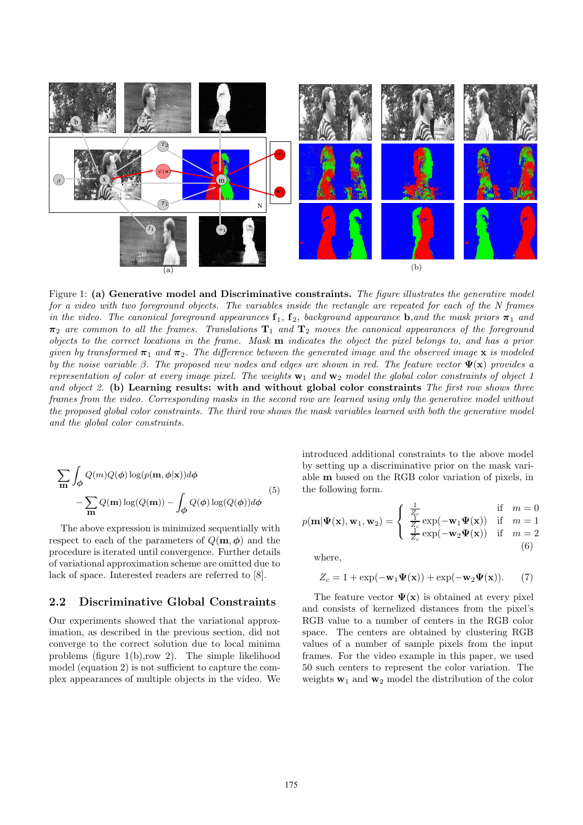

Figure 1: (a) Generative model and Discriminative constraints. The figure illustrates the generative model for a video with two foreground objects. The variables inside the rectangle are repeated for each of the N frames in the video. The canonical foreground appearances  $f_1, f_2$ , background appearance **b**, and the mask priors  $\pi_1$  and  $\pi_2$  are common to all the frames. Translations  $T_1$  and  $T_2$  moves the canonical appearances of the foreground objects to the correct locations in the frame. Mask m indicates the object the pixel belongs to, and has a prior given by transformed  $\pi_1$  and  $\pi_2$ . The difference between the generated image and the observed image x is modeled by the noise variable β. The proposed new nodes and edges are shown in red. The feature vector  $\Psi(\mathbf{x})$  provides a representation of color at every image pixel. The weights  $w_1$  and  $w_2$  model the global color constraints of object 1 and object 2. (b) Learning results: with and without global color constraints The first row shows three frames from the video. Corresponding masks in the second row are learned using only the generative model without the proposed global color constraints. The third row shows the mask variables learned with both the generative model and the global color constraints.

$$
\sum_{\mathbf{m}} \int_{\phi} Q(m)Q(\phi) \log(p(\mathbf{m}, \phi|\mathbf{x})) d\phi
$$
  
-
$$
\sum_{\mathbf{m}} Q(\mathbf{m}) \log(Q(\mathbf{m})) - \int_{\phi} Q(\phi) \log(Q(\phi)) d\phi
$$
 (5)

The above expression is minimized sequentially with respect to each of the parameters of  $Q(\mathbf{m}, \phi)$  and the procedure is iterated until convergence. Further details of variational approximation scheme are omitted due to lack of space. Interested readers are referred to [8].

#### 2.2 Discriminative Global Constraints

Our experiments showed that the variational approximation, as described in the previous section, did not converge to the correct solution due to local minima problems (figure 1(b),row 2). The simple likelihood model (equation 2) is not sufficient to capture the complex appearances of multiple objects in the video. We introduced additional constraints to the above model by setting up a discriminative prior on the mask variable m based on the RGB color variation of pixels, in the following form.

$$
p(\mathbf{m}|\mathbf{\Psi}(\mathbf{x}), \mathbf{w}_1, \mathbf{w}_2) = \begin{cases} \frac{1}{Z_c} & \text{if } m = 0\\ \frac{1}{Z_c} \exp(-\mathbf{w}_1 \mathbf{\Psi}(\mathbf{x})) & \text{if } m = 1\\ \frac{1}{Z_c} \exp(-\mathbf{w}_2 \mathbf{\Psi}(\mathbf{x})) & \text{if } m = 2\\ (6) \end{cases}
$$

where,

$$
Z_c = 1 + \exp(-\mathbf{w}_1 \Psi(\mathbf{x})) + \exp(-\mathbf{w}_2 \Psi(\mathbf{x})).
$$
 (7)

The feature vector  $\Psi(\mathbf{x})$  is obtained at every pixel and consists of kernelized distances from the pixel's RGB value to a number of centers in the RGB color space. The centers are obtained by clustering RGB values of a number of sample pixels from the input frames. For the video example in this paper, we used 50 such centers to represent the color variation. The weights  $w_1$  and  $w_2$  model the distribution of the color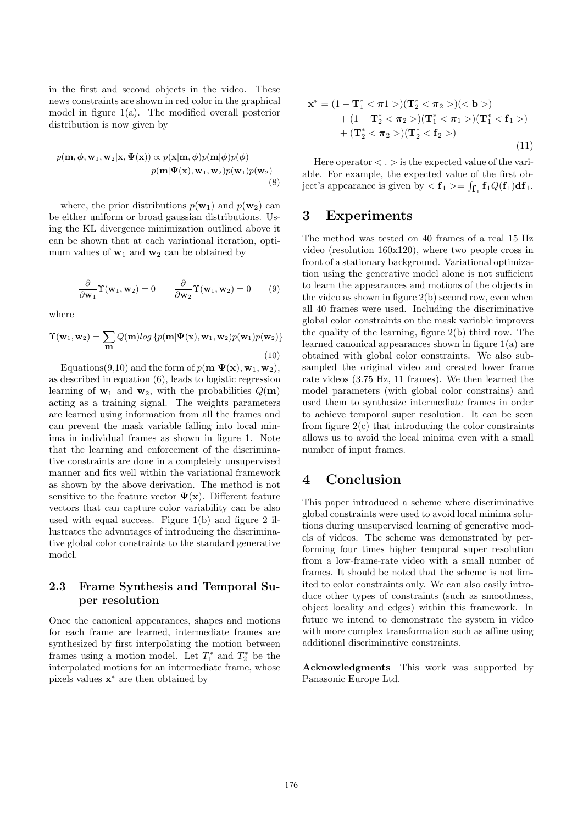in the first and second objects in the video. These news constraints are shown in red color in the graphical model in figure  $1(a)$ . The modified overall posterior distribution is now given by

$$
p(\mathbf{m}, \phi, \mathbf{w}_1, \mathbf{w}_2 | \mathbf{x}, \Psi(\mathbf{x})) \propto p(\mathbf{x} | \mathbf{m}, \phi) p(\mathbf{m} | \phi) p(\phi)
$$
  
 
$$
p(\mathbf{m} | \Psi(\mathbf{x}), \mathbf{w}_1, \mathbf{w}_2) p(\mathbf{w}_1) p(\mathbf{w}_2)
$$
 (8)

where, the prior distributions  $p(\mathbf{w}_1)$  and  $p(\mathbf{w}_2)$  can be either uniform or broad gaussian distributions. Using the KL divergence minimization outlined above it can be shown that at each variational iteration, optimum values of  $w_1$  and  $w_2$  can be obtained by

$$
\frac{\partial}{\partial \mathbf{w}_1} \Upsilon(\mathbf{w}_1, \mathbf{w}_2) = 0 \qquad \frac{\partial}{\partial \mathbf{w}_2} \Upsilon(\mathbf{w}_1, \mathbf{w}_2) = 0 \qquad (9)
$$

where

$$
\Upsilon(\mathbf{w}_1, \mathbf{w}_2) = \sum_{\mathbf{m}} Q(\mathbf{m}) log \left\{ p(\mathbf{m}|\Psi(\mathbf{x}), \mathbf{w}_1, \mathbf{w}_2) p(\mathbf{w}_1) p(\mathbf{w}_2) \right\}
$$
\n(10)

Equations(9,10) and the form of  $p(\mathbf{m}|\Psi(\mathbf{x}), \mathbf{w}_1, \mathbf{w}_2)$ , as described in equation (6), leads to logistic regression learning of  $\mathbf{w}_1$  and  $\mathbf{w}_2$ , with the probabilities  $Q(\mathbf{m})$ acting as a training signal. The weights parameters are learned using information from all the frames and can prevent the mask variable falling into local minima in individual frames as shown in figure 1. Note that the learning and enforcement of the discriminative constraints are done in a completely unsupervised manner and fits well within the variational framework as shown by the above derivation. The method is not sensitive to the feature vector  $\Psi(\mathbf{x})$ . Different feature vectors that can capture color variability can be also used with equal success. Figure 1(b) and figure 2 illustrates the advantages of introducing the discriminative global color constraints to the standard generative model.

### 2.3 Frame Synthesis and Temporal Super resolution

Once the canonical appearances, shapes and motions for each frame are learned, intermediate frames are synthesized by first interpolating the motion between frames using a motion model. Let  $T_1^*$  and  $T_2^*$  be the interpolated motions for an intermediate frame, whose pixels values  $\mathbf{x}^*$  are then obtained by

$$
\mathbf{x}^* = (1 - \mathbf{T}_1^* < \pi_1 >)(\mathbf{T}_2^* < \pi_2 >)(< \mathbf{b} >)+ (1 - \mathbf{T}_2^* < \pi_2 >)(\mathbf{T}_1^* < \pi_1 >)(\mathbf{T}_1^* < \mathbf{f}_1 >)+ (\mathbf{T}_2^* < \pi_2 >)(\mathbf{T}_2^* < \mathbf{f}_2 >)
$$
\n
$$
(11)
$$

Here operator  $\langle . \rangle$  is the expected value of the variable. For example, the expected value of the first object's appearance is given by  $\langle f_1 \rangle = \int_{\mathbf{f}_1} \mathbf{f}_1 Q(\mathbf{f}_1) d\mathbf{f}_1$ .

### 3 Experiments

The method was tested on 40 frames of a real 15 Hz video (resolution 160x120), where two people cross in front of a stationary background. Variational optimization using the generative model alone is not sufficient to learn the appearances and motions of the objects in the video as shown in figure 2(b) second row, even when all 40 frames were used. Including the discriminative global color constraints on the mask variable improves the quality of the learning, figure 2(b) third row. The learned canonical appearances shown in figure 1(a) are obtained with global color constraints. We also subsampled the original video and created lower frame rate videos (3.75 Hz, 11 frames). We then learned the model parameters (with global color constrains) and used them to synthesize intermediate frames in order to achieve temporal super resolution. It can be seen from figure  $2(c)$  that introducing the color constraints allows us to avoid the local minima even with a small number of input frames.

# 4 Conclusion

This paper introduced a scheme where discriminative global constraints were used to avoid local minima solutions during unsupervised learning of generative models of videos. The scheme was demonstrated by performing four times higher temporal super resolution from a low-frame-rate video with a small number of frames. It should be noted that the scheme is not limited to color constraints only. We can also easily introduce other types of constraints (such as smoothness, object locality and edges) within this framework. In future we intend to demonstrate the system in video with more complex transformation such as affine using additional discriminative constraints.

Acknowledgments This work was supported by Panasonic Europe Ltd.